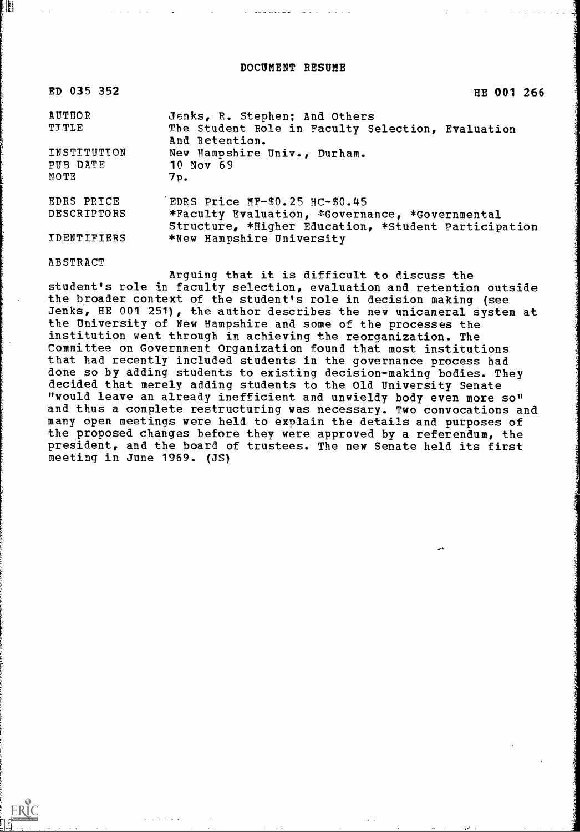DOCUMENT RESUME

| ED 035 352         | HE 001 266                                                                                              |
|--------------------|---------------------------------------------------------------------------------------------------------|
| <b>AUTHOR</b>      | Jenks, R. Stephen; And Others                                                                           |
| <b>TTTLE</b>       | The Student Role in Faculty Selection, Evaluation<br>And Retention.                                     |
| INSTITUTION        | New Hampshire Univ., Durham.                                                                            |
| PUB DATE           | 10 Nov 69                                                                                               |
| NOTE               | 7p.                                                                                                     |
| EDRS PRICE         | EDRS Price MF-\$0.25 HC-\$0.45                                                                          |
| DESCRIPTORS        | *Faculty Evaluation, *Governance, *Governmental<br>Structure, *Higher Education, *Student Participation |
| <b>IDENTIFIERS</b> | *New Hampshire University                                                                               |

ABSTRACT

ERIC

₩

Arguing that it is difficult to discuss the student's role in faculty selection, evaluation and retention outside the broader context of the student's role in decision making (see Jenks, HE 001 251), the author describes the new unicameral system at the University of New Hampshire and some of the processes the institution went through in achieving the reorganization. The Committee on Government Organization found that most institutions that had recently included students in the governance process had done so by adding students to existing decision-making bodies. They decided that merely adding students to the Old University Senate "would leave an already inefficient and unwieldy body even more so" and thus a complete restructuring was necessary. Two convocations and many open meetings were held to explain the details and purposes of the proposed changes before they were approved by a referendum, the president, and the board of trustees. The new Senate held its first meeting in June 1969. (JS)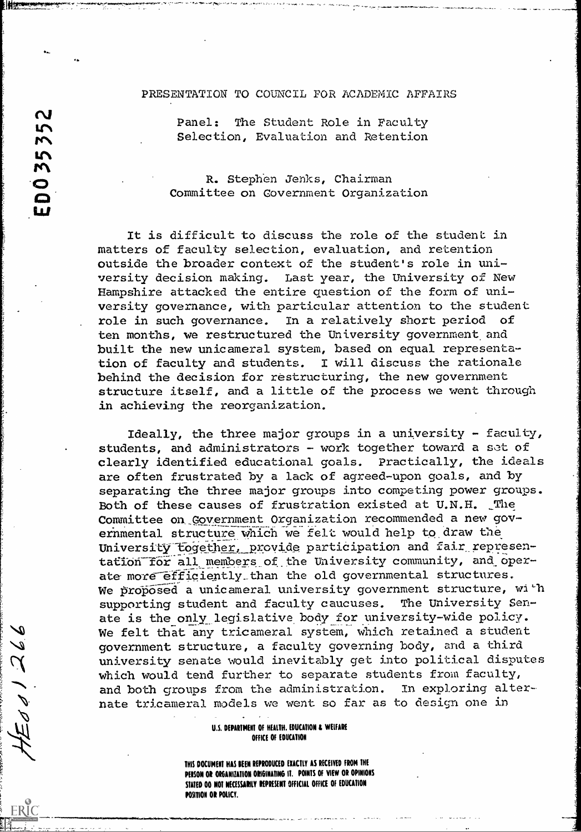## PRESENTATION TO COUNCIL FOR ACADEMIC AFFAIRS

Panel: The Student Role in Faculty Selection, Evaluation and Retention

LC\

 $\mathbf{\Omega}$ 

re\

**r**<br>0

 $\boldsymbol{\omega}$ 

O<br>Com R. Stephen Jenks, Chairman Committee on Government Organization

> It is difficult to discuss the role of the student in matters of faculty selection, evaluation, and retention outside the broader context of the student's role in university decision making. Last year, the University of New Hampshire attacked the entire question of the form of university governance, with particular attention to the student role in such governance. In a relatively short period of ten months, we restructured the University government and built the new unicameral system, based on equal representation of faculty and students. I will discuss the rationale behind the decision for restructuring, the new government structure itself, and a little of the process we went through in achieving the reorganization.

Ideally, the three major groups in a university - faculty, students, and administrators - work together toward a set of clearly identified educational goals. Practically, the ideals are often frustrated by a lack of agreed-upon goals, and by separating the three major groups into competing power groups. Both of these causes of frustration existed at U.N.H. The Committee on Government Organization recommended a new governmental structure which we felt would help to draw the University together, provide participation and fair representation for all members of the University community, and operate more efficiently than the old governmental structures. We proposed a unicameral university government structure, with supporting student and faculty caucuses. The University Senate is the only legislative body for university-wide policy. We felt that any tricameral system, which retained a student government structure, a faculty governing body, and a third university senate would inevitably get into political disputes which would tend further to separate students from faculty, and both groups from the administration. In exploring alternate tricameral models we went so far as to design one in

## U.S. DEPARTMENT OF HEALTH. EDUCATION & WELFARE OFFICE OF EDUCATION

THIS DOCUMENT HAS BEEN REPRODUCED EXACTLY AS RECEIVED FROM THE PERSON OR ORGANIZATION ORIGINATING IT. POINTS OF VIEW OR OPINIONS STATED DO NOT NECESSARILY REPRESENT OFFICIAL OFFICE OF EDUCATION POSITION OR POLICY.

a a.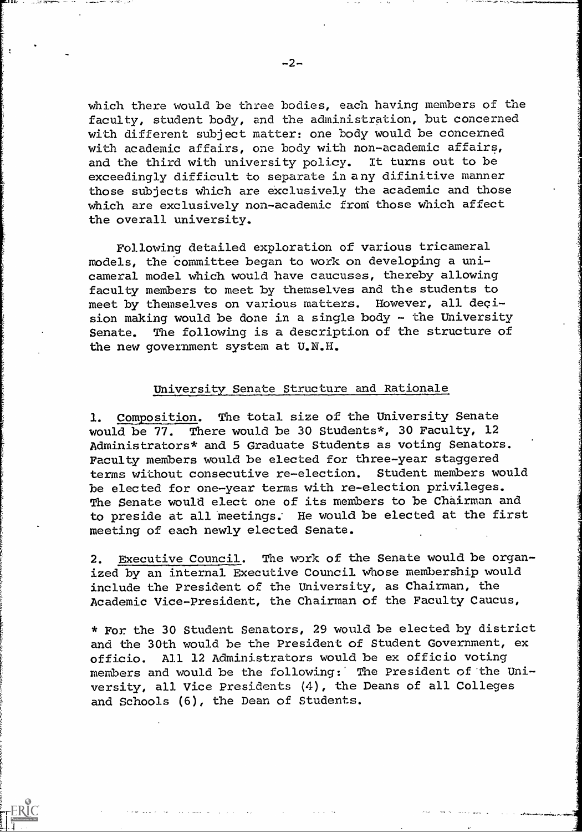which there would be three bodies, each having members of the faculty, student body, and the administration, but concerned with different subject matter: one body would be concerned with academic affairs, one body with non-academic affairs, and the third with university policy. It turns out to be exceedingly difficult to separate in any difinitive manner those subjects which are exclusively the academic and those which are exclusively non-academic from those which affect the overall university.

Following detailed exploration of various tricameral models, the committee began to work on developing a unicameral model which would have caucuses, thereby allowing faculty members to meet by themselves and the students to meet by themselves on various matters. However, all decision making would be done in a single body - the University Senate. The following is a description of the structure of the new government system at U.N.H.

## University Senate Structure and Rationale

1. Composition. The total size of the University Senate would be 77. There would be 30 Students\*, 30 Faculty, 12 Administrators\* and 5 Graduate Students as voting Senators. Faculty members would be elected for three-year staggered terms without consecutive re-election. Student members would be elected for one-year terms with re-election privileges. The Senate would elect one of its members to be Chairman and to preside at all meetings; He would be elected at the first meeting of each newly elected Senate.

2. Executive Council. The work of the Senate would be organized by an internal Executive Council whose membership would include the President of the University, as Chairman, the Academic Vice-President, the Chairman of the Faculty Caucus,

\* For the 30 Student Senators, 29 would be elected by district and the 30th would be the President of Student Government, ex officio. All 12 Administrators would be ex officio voting members and would be the following: The President of the University, all Vice Presidents (4), the Deans of all Colleges and Schools (6), the Dean of Students.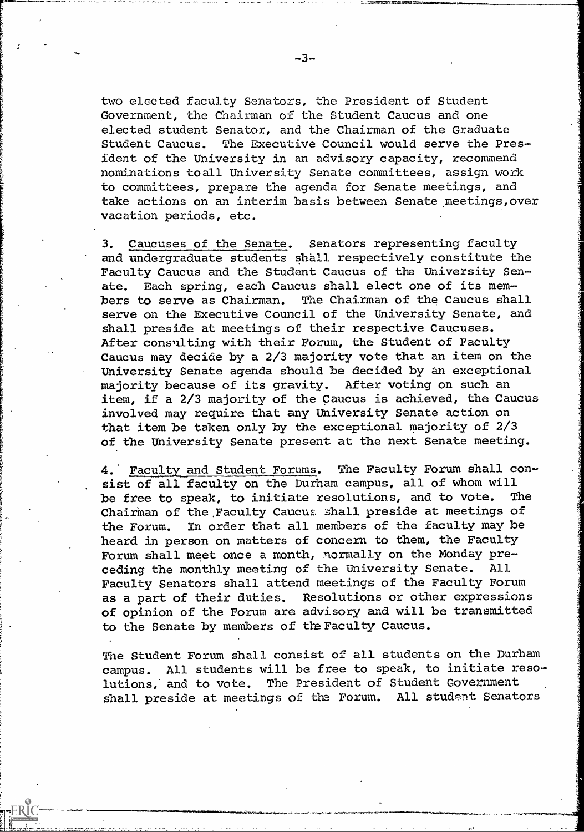$-3-$ 

."---leffigliroyam

two elected faculty Senators, the President of Student Government, the Chairman of the Student Caucus and one elected student Senator, and the Chairman of the Graduate Student Caucus. The Executive Council would serve the President of the University in an advisory capacity, recommend nominations toall University Senate committees, assign work to committees, prepare the agenda for Senate meetings, and take actions on an interim basis between Senate meetings,over vacation periods, etc.

3. Caucuses of the Senate. Senators representing faculty and undergraduate students shall respectively constitute the Faculty Caucus and the Student Caucus of the University Senate. Each spring, each Caucus shall elect one of its members to serve as Chairman. The Chairman of the Caucus shall serve on the Executive Council of the University Senate, and shall preside at meetings of their respective Caucuses. After consulting with their Forum, the Student of Faculty Caucus may decide by a 2/3 majority vote that an item on the University Senate agenda should be decided by an exceptional majority because of its gravity. After voting on such an item, if a 2/3 majority of the Caucus is achieved, the Caucus involved may require that any University Senate action on that item be taken only by the exceptional majority of 2/3 of the University Senate present at the next Senate meeting.

4. Faculty and Student Forums. The Faculty Forum shall consist of all faculty on the Durham campus, all of whom will be free to speak, to initiate resolutions, and to vote. The Chairman of the Faculty Caucus shall preside at meetings of the Forum. In order that all members of the faculty may be heard in person on matters of concern to them, the Faculty Forum shall meet once a month, normally on the Monday preceding the monthly meeting of the University Senate. All Faculty Senators shall attend meetings of the Faculty Forum as a part of their duties. Resolutions or other expressions of opinion of the Forum are advisory and will be transmitted to the Senate by members of the Faculty Caucus.

The Student Forum shall consist of all students on the Durham campus. All students will be free to speak, to initiate resolutions,' and to vote. The President of Student Government shall preside at meetings of the Forum. All student Senators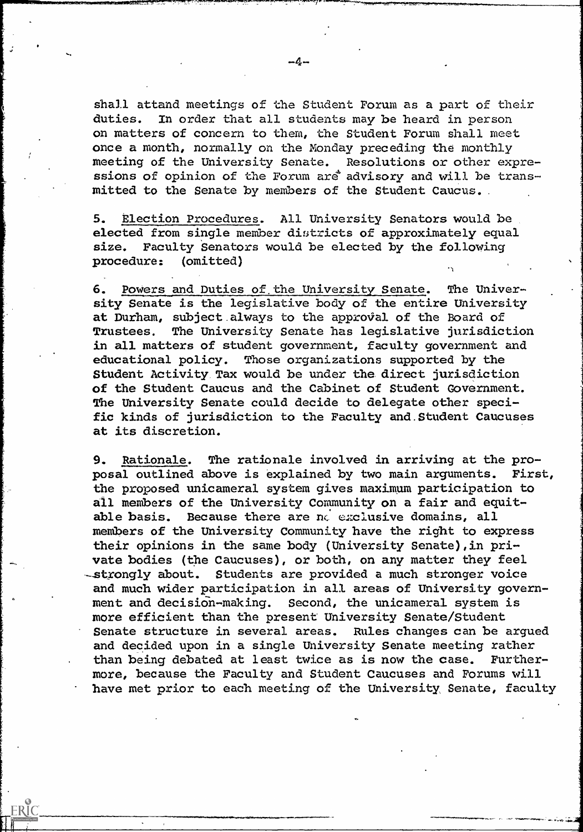Shall attand meetings of the Student Forum as a part of their duties. In order that all students maybe heard in person on matters of concern to them, the Student Forum shall meet once a month, normally on the Monday preceding the monthly meeting of the University Senate. Resolutions or other expressions of opinion of the Forum are advisory and will be transmitted to the Senate by members of the Student Caucus.

5. Election Procedures. All University Senators would be elected from single member districts of approximately equal size. Faculty Senators would be elected by the following procedure: (omitted)

6. Powers and Duties of.the University Senate. The University Senate is the legislative body of the entire University at Durham, subject always to the approval of the Board of Trustees. The University Senate has legislative jurisdiction in all matters of student government, faculty government and educational policy. Those organizations supported by the Student Activity Tax would be under the direct jurisdiction of the Student Caucus and the Cabinet of Student Government. The University Senate could decide to delegate other specific kinds of jurisdiction to the Faculty and. Student Caucuses at its discretion.

9. Rationale. The rationale involved in arriving at the proposal outlined above is explained by two main arguments. First, the proposed unicameral system gives maximum participation to all members of the University Community on a fair and equitable basis. Because there are no exclusive domains, all members of the University Community have the right to express their opinions in the same body (University Senate), in private bodies (the Caucuses), or both, on any matter they feel -strongly about. Students are provided a much stronger voice and much wider participation in all areas of University government and decision-making. Second, the unicameral system is more efficient than the present University Senate/Student Senate structure in several areas. Rules changes can be argued and decided upon in a single University Senate meeting rather than being debated at least twice as is now the case. Furthermore, because the Faculty and Student Caucuses and Forums will have met prior to each meeting of the University Senate, faculty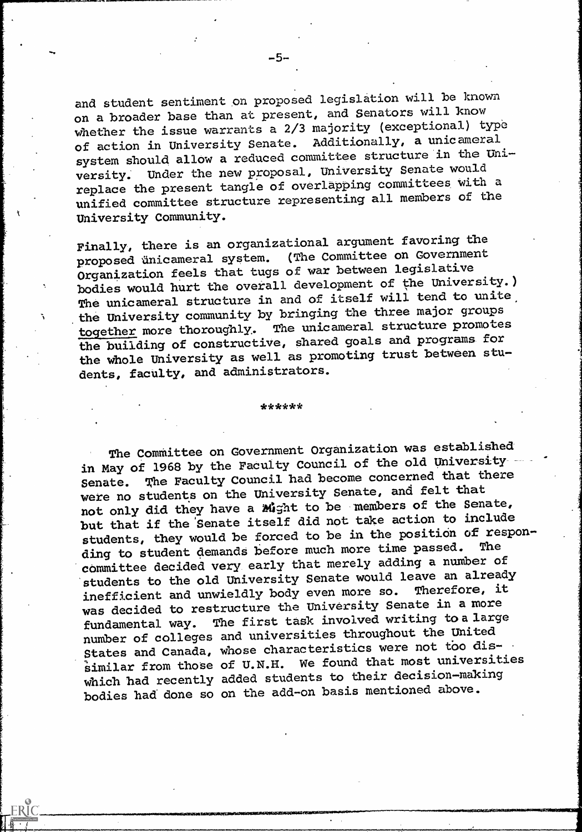and student sentiment on proposed legislation will be known on a broader base than at present, and Senators will know whether the issue warrants a 2/3 majority (exceptional) type of action in University Senate. Additionally, a unicameral system should allow a reduced committee structure in the University. Under the new proposal, University Senate would replace the present tangle of overlapping committees with a unified committee structure representing all members of the University Community.

Finally, there is an organizational argument favoring the proposed unicameral system. (The Committee on Government proposed ünicameral system. (The Committee on Government Organization feels that tugs of war between legislative bodies would hurt the overall development of the University.) The unicameral structure in and of itself will tend to unite the University community by bringing the three major groups together more thoroughly,. The unicameral structure promotes the building of constructive, shared goals and programs for the whole University as well as promoting trust between students, faculty, and administrators.

\*\*\*\*\*\*

The Committee on Government Organization was established in May of 1968 by the Faculty Council of the old University Senate. The Faculty Council had become concerned that there were no students on the University Senate, and felt that not only did they have a Might to be members of the Senate, but that if the 'Senate itself did not take action to include students, they would be forced to be in the position of responding to student demands before much more time passed. committee decided very early that merely adding a number of students to the old University Senate would leave an already inefficient and unwieldly body even more so. was decided to restructure the University Senate in a more<br>fundamental way. The first task involved writing to a large The first task involved writing to a large number of colleges and universities throughout the United States and Canada, whose characteristics were not too dis $s$ imilar from those of U.N.H. We found that most universities Which had recently added students to their decision-making bodies had done so on the add-on basis mentioned above.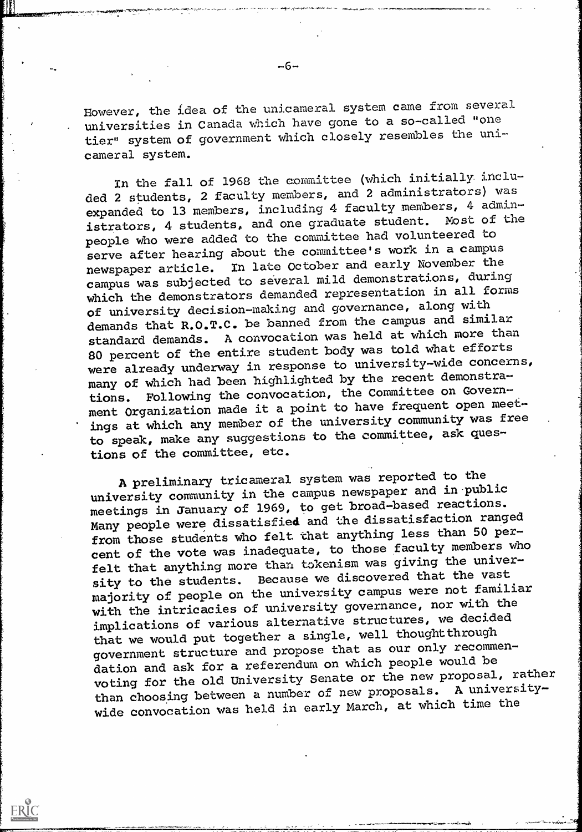However, the idea of the unicameral system came from several universities in Canada which have gone to a so-called "one tier" system of government which closely resembles the unicameral system.

In the fall of 1968 the committee (which initially. included 2 students, 2 faculty members, and 2 administrators) was expanded to 13 members, including 4 faculty members, 4 administrators, 4 students, and one graduate student. Most of the people who were added to the committee had volunteered to serve after hearing about the committee's work in a campus newspaper article. In late October and early November the campus was subjected to several mild demonstrations, during which the demonstrators demanded representation in all forms of university decision-making and governance, along with demands that R.O.T.C. be banned from the campus and similar standard demands. A convocation was held at which more than 80 percent of the entire student body was told what efforts were already underway in response to university-wide concerns, many of which had been highlighted by the recent demonstrations. Following the convocation, the Committee on Government Organization made it a point to have frequent open meetings at which any member of the university community was free to speak, make any suggestions to the committee, ask questions of the committee, etc.

A preliminary tricameral system was reported to the university community in the campus newspaper and in public meetings in January of 1969, to get broad-based reactions. Many people were dissatisfied and the dissatisfaction ranged from those students who felt that anything less than 50 percent of the vote was inadequate, to those faculty members who felt that anything more than tokenism was giving the university to the students. Because we discovered that the vast majority of people on the university campus were not familiar with the intricacies of university governance, nor with the implications of various alternative structures, we decided that we would put together a single, well thought through government structure and propose that as our only recommendation and ask for a referendum on which people would be voting for the old University Senate or the new proposal, rather than choosing between a number of new proposals. A universitywide convocation was held in early March, at which time the

ERIC